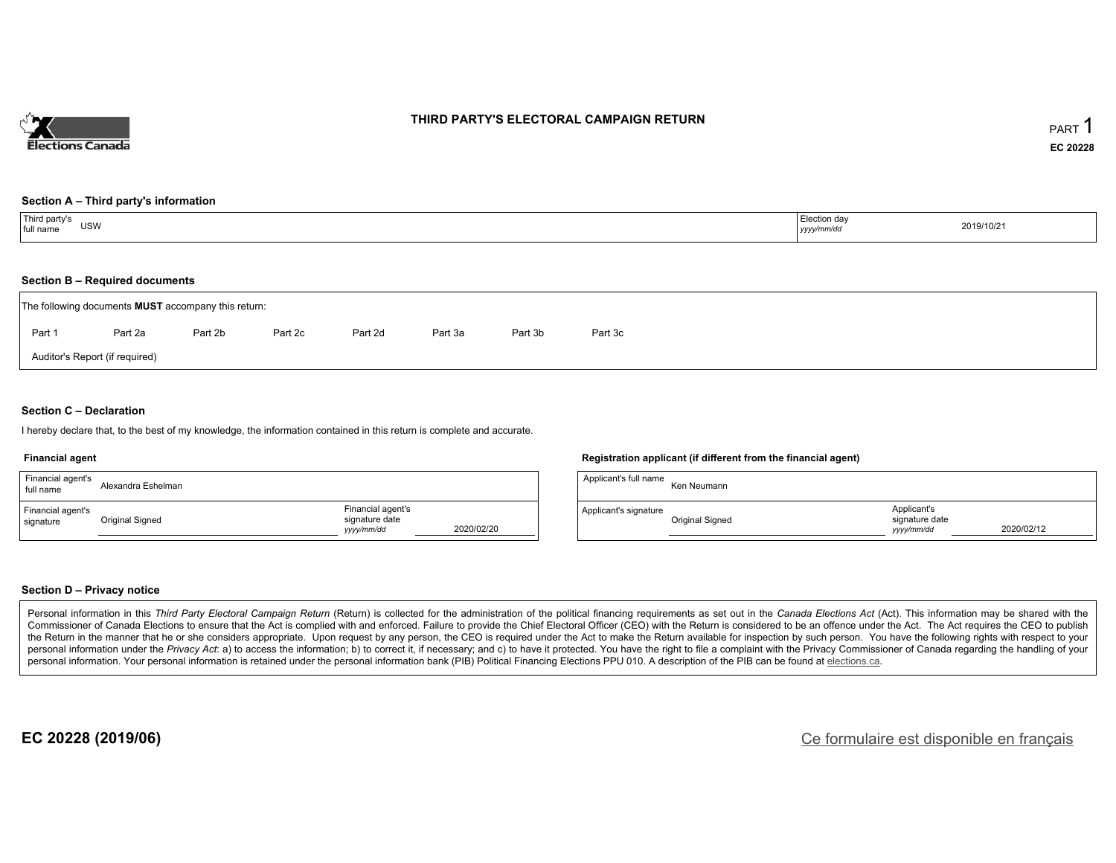

## **THIRD PARTY'S ELECTORAL CAMPAIGN RETURN**

#### **Section A – Third party's information**

| <sup>'</sup> Third party's<br>USW<br>$ $ full name | ⊦Election day<br>yyyy/mm/dd | 2019/10/21 |
|----------------------------------------------------|-----------------------------|------------|
|----------------------------------------------------|-----------------------------|------------|

#### **Section B – Required documents**

| The following documents <b>MUST</b> accompany this return: |         |         |         |         |         |         |         |  |  |  |
|------------------------------------------------------------|---------|---------|---------|---------|---------|---------|---------|--|--|--|
| Part 1                                                     | Part 2a | Part 2b | Part 2c | Part 2d | Part 3a | Part 3b | Part 3c |  |  |  |
| Auditor's Report (if required)                             |         |         |         |         |         |         |         |  |  |  |

## **Section C – Declaration**

I hereby declare that, to the best of my knowledge, the information contained in this return is complete and accurate.

#### **Financial agent**

| Financial agent's<br>full name | Alexandra Eshelman |                                                   |            | Applicant's |
|--------------------------------|--------------------|---------------------------------------------------|------------|-------------|
| Financial agent's<br>signature | Original Signed    | Financial agent's<br>signature date<br>yyyy/mm/dd | 2020/02/20 | Applicant's |

#### **Registration applicant (if different from the financial agent)**

| Applicant's full name | Ken Neumann     |                                             |            |
|-----------------------|-----------------|---------------------------------------------|------------|
| Applicant's signature | Original Signed | Applicant's<br>signature date<br>vyyy/mm/dd | 2020/02/12 |

### **Section D – Privacy notice**

Personal information in this Third Party Electoral Campaign Return (Return) is collected for the administration of the political financing requirements as set out in the Canada Elections Act (Act). This information may be Commissioner of Canada Elections to ensure that the Act is complied with and enforced. Failure to provide the Chief Electoral Officer (CEO) with the Return is considered to be an offence under the Act. The Act requires the the Return in the manner that he or she considers appropriate. Upon request by any person, the CEO is required under the Act to make the Return available for inspection by such person. You have the following rights with re personal information under the Privacy Act: a) to access the information; b) to correct it, if necessary; and c) to have it protected. You have the right to file a complaint with the Privacy Commissioner of Canada regardin personal information. Your personal information is retained under the personal information bank (PIB) Political Financing Elections PPU 010. A description of the PIB can be found at elections.ca.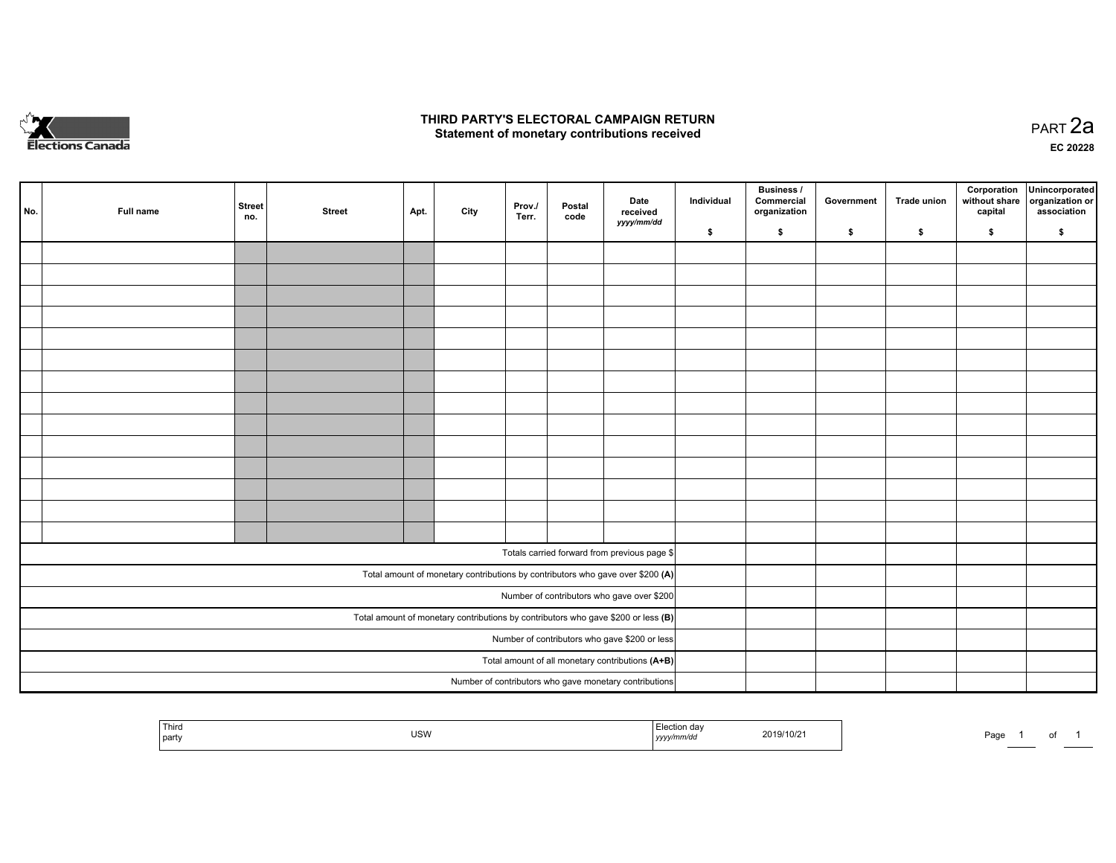

## **THIRD PARTY'S ELECTORAL CAMPAIGN RETURN HIRD PARTY'S ELECTORAL CAMPAIGN RETURN<br>Statement of monetary contributions received PART 2a PART 2a**

**EC 20228**

| No. | Full name | <b>Street</b><br>no. | <b>Street</b> | Apt. | City | Prov./<br>Terr. | Postal<br>code | Date<br>received<br>yyyy/mm/dd                                                      | Individual | <b>Business /</b><br>Commercial<br>organization | Government | Trade union | Corporation<br>without share<br>capital | Unincorporated<br>organization or<br>association |
|-----|-----------|----------------------|---------------|------|------|-----------------|----------------|-------------------------------------------------------------------------------------|------------|-------------------------------------------------|------------|-------------|-----------------------------------------|--------------------------------------------------|
|     |           |                      |               |      |      |                 |                |                                                                                     | \$         | \$                                              | \$         | \$          | \$                                      | \$                                               |
|     |           |                      |               |      |      |                 |                |                                                                                     |            |                                                 |            |             |                                         |                                                  |
|     |           |                      |               |      |      |                 |                |                                                                                     |            |                                                 |            |             |                                         |                                                  |
|     |           |                      |               |      |      |                 |                |                                                                                     |            |                                                 |            |             |                                         |                                                  |
|     |           |                      |               |      |      |                 |                |                                                                                     |            |                                                 |            |             |                                         |                                                  |
|     |           |                      |               |      |      |                 |                |                                                                                     |            |                                                 |            |             |                                         |                                                  |
|     |           |                      |               |      |      |                 |                |                                                                                     |            |                                                 |            |             |                                         |                                                  |
|     |           |                      |               |      |      |                 |                |                                                                                     |            |                                                 |            |             |                                         |                                                  |
|     |           |                      |               |      |      |                 |                |                                                                                     |            |                                                 |            |             |                                         |                                                  |
|     |           |                      |               |      |      |                 |                |                                                                                     |            |                                                 |            |             |                                         |                                                  |
|     |           |                      |               |      |      |                 |                |                                                                                     |            |                                                 |            |             |                                         |                                                  |
|     |           |                      |               |      |      |                 |                |                                                                                     |            |                                                 |            |             |                                         |                                                  |
|     |           |                      |               |      |      |                 |                |                                                                                     |            |                                                 |            |             |                                         |                                                  |
|     |           |                      |               |      |      |                 |                |                                                                                     |            |                                                 |            |             |                                         |                                                  |
|     |           |                      |               |      |      |                 |                |                                                                                     |            |                                                 |            |             |                                         |                                                  |
|     |           |                      |               |      |      |                 |                |                                                                                     |            |                                                 |            |             |                                         |                                                  |
|     |           |                      |               |      |      |                 |                | Totals carried forward from previous page \$                                        |            |                                                 |            |             |                                         |                                                  |
|     |           |                      |               |      |      |                 |                | Total amount of monetary contributions by contributors who gave over \$200 (A)      |            |                                                 |            |             |                                         |                                                  |
|     |           |                      |               |      |      |                 |                | Number of contributors who gave over \$200                                          |            |                                                 |            |             |                                         |                                                  |
|     |           |                      |               |      |      |                 |                | Total amount of monetary contributions by contributors who gave \$200 or less $(B)$ |            |                                                 |            |             |                                         |                                                  |
|     |           |                      |               |      |      |                 |                | Number of contributors who gave \$200 or less                                       |            |                                                 |            |             |                                         |                                                  |
|     |           |                      |               |      |      |                 |                | Total amount of all monetary contributions (A+B)                                    |            |                                                 |            |             |                                         |                                                  |
|     |           |                      |               |      |      |                 |                | Number of contributors who gave monetary contributions                              |            |                                                 |            |             |                                         |                                                  |

| Third<br>Election dav<br>2019/10/21<br><b>USW</b><br>party<br>yyyy/mm/dd<br>$\sim$ $\sim$ $\sim$<br>,,,,,<br>$\sim$ $\sim$ |
|----------------------------------------------------------------------------------------------------------------------------|
|----------------------------------------------------------------------------------------------------------------------------|

Page 1 of 1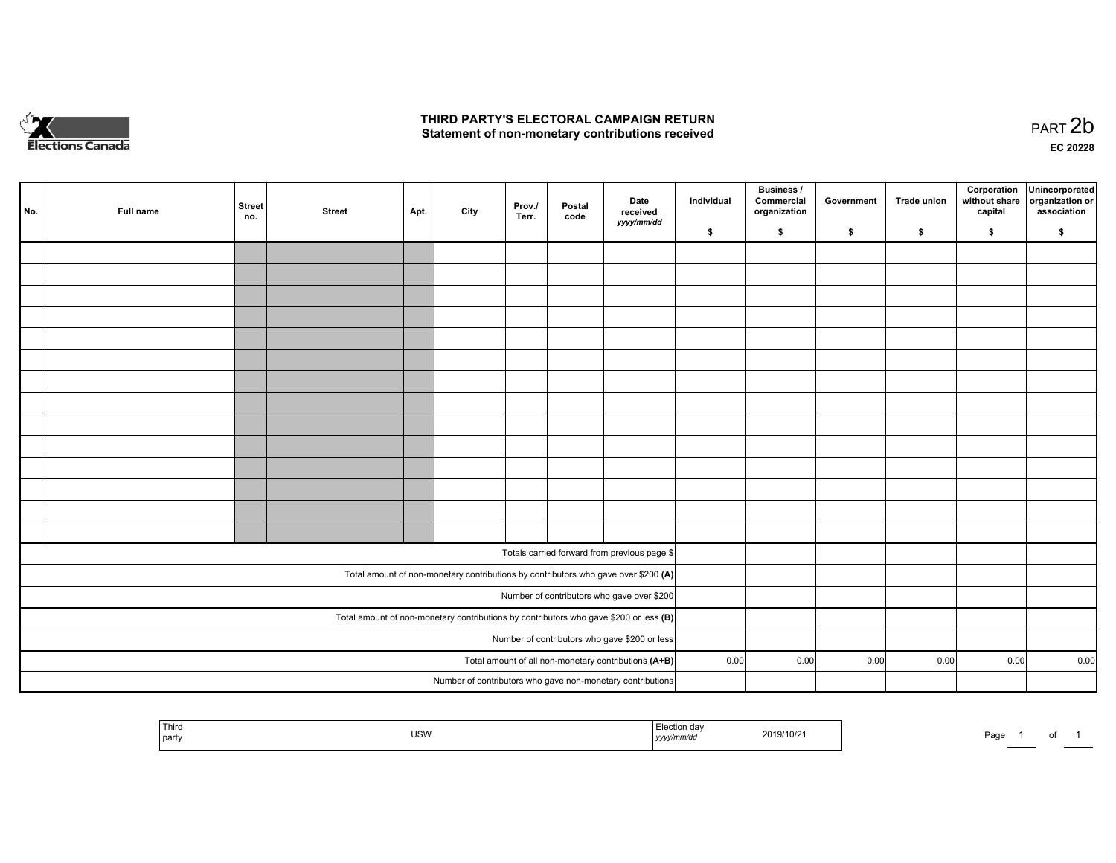

# **THIRD PARTY'S ELECTORAL CAMPAIGN RETURN**  THIRD PARTY'S ELECTORAL CAMPAIGN RETURN<br>Statement of non-monetary contributions received

| No.                                        | Full name | <b>Street</b><br>no. | <b>Street</b> | Apt. | City | Prov./<br>Terr. | Postal<br>code | Date<br>received<br>yyyy/mm/dd                                                        | Individual | <b>Business /</b><br>Commercial<br>organization | Government | Trade union | Corporation<br>without share<br>capital | Unincorporated<br>organization or<br>association |
|--------------------------------------------|-----------|----------------------|---------------|------|------|-----------------|----------------|---------------------------------------------------------------------------------------|------------|-------------------------------------------------|------------|-------------|-----------------------------------------|--------------------------------------------------|
|                                            |           |                      |               |      |      |                 |                |                                                                                       | \$         | \$                                              | \$         | \$          | \$                                      | \$                                               |
|                                            |           |                      |               |      |      |                 |                |                                                                                       |            |                                                 |            |             |                                         |                                                  |
|                                            |           |                      |               |      |      |                 |                |                                                                                       |            |                                                 |            |             |                                         |                                                  |
|                                            |           |                      |               |      |      |                 |                |                                                                                       |            |                                                 |            |             |                                         |                                                  |
|                                            |           |                      |               |      |      |                 |                |                                                                                       |            |                                                 |            |             |                                         |                                                  |
|                                            |           |                      |               |      |      |                 |                |                                                                                       |            |                                                 |            |             |                                         |                                                  |
|                                            |           |                      |               |      |      |                 |                |                                                                                       |            |                                                 |            |             |                                         |                                                  |
|                                            |           |                      |               |      |      |                 |                |                                                                                       |            |                                                 |            |             |                                         |                                                  |
|                                            |           |                      |               |      |      |                 |                |                                                                                       |            |                                                 |            |             |                                         |                                                  |
|                                            |           |                      |               |      |      |                 |                |                                                                                       |            |                                                 |            |             |                                         |                                                  |
|                                            |           |                      |               |      |      |                 |                |                                                                                       |            |                                                 |            |             |                                         |                                                  |
|                                            |           |                      |               |      |      |                 |                |                                                                                       |            |                                                 |            |             |                                         |                                                  |
|                                            |           |                      |               |      |      |                 |                |                                                                                       |            |                                                 |            |             |                                         |                                                  |
|                                            |           |                      |               |      |      |                 |                |                                                                                       |            |                                                 |            |             |                                         |                                                  |
|                                            |           |                      |               |      |      |                 |                |                                                                                       |            |                                                 |            |             |                                         |                                                  |
|                                            |           |                      |               |      |      |                 |                |                                                                                       |            |                                                 |            |             |                                         |                                                  |
|                                            |           |                      |               |      |      |                 |                | Totals carried forward from previous page \$                                          |            |                                                 |            |             |                                         |                                                  |
|                                            |           |                      |               |      |      |                 |                | Total amount of non-monetary contributions by contributors who gave over \$200 (A)    |            |                                                 |            |             |                                         |                                                  |
| Number of contributors who gave over \$200 |           |                      |               |      |      |                 |                |                                                                                       |            |                                                 |            |             |                                         |                                                  |
|                                            |           |                      |               |      |      |                 |                | Total amount of non-monetary contributions by contributors who gave \$200 or less (B) |            |                                                 |            |             |                                         |                                                  |
|                                            |           |                      |               |      |      |                 |                | Number of contributors who gave \$200 or less                                         |            |                                                 |            |             |                                         |                                                  |
|                                            |           |                      |               |      |      |                 |                | Total amount of all non-monetary contributions (A+B)                                  | 0.00       | 0.00                                            | 0.00       | 0.00        | 0.00                                    | 0.00                                             |
|                                            |           |                      |               |      |      |                 |                | Number of contributors who gave non-monetary contributions                            |            |                                                 |            |             |                                         |                                                  |

| i niro<br>, part | <b>USW</b><br>$\sim$ $\sim$ | aa<br>2019/10/2<br>the contract of the contract of the contract of the contract of the contract of the contract of the contract of<br><b></b><br>,,,, | محد<br>-au | . |
|------------------|-----------------------------|-------------------------------------------------------------------------------------------------------------------------------------------------------|------------|---|
|                  |                             |                                                                                                                                                       |            |   |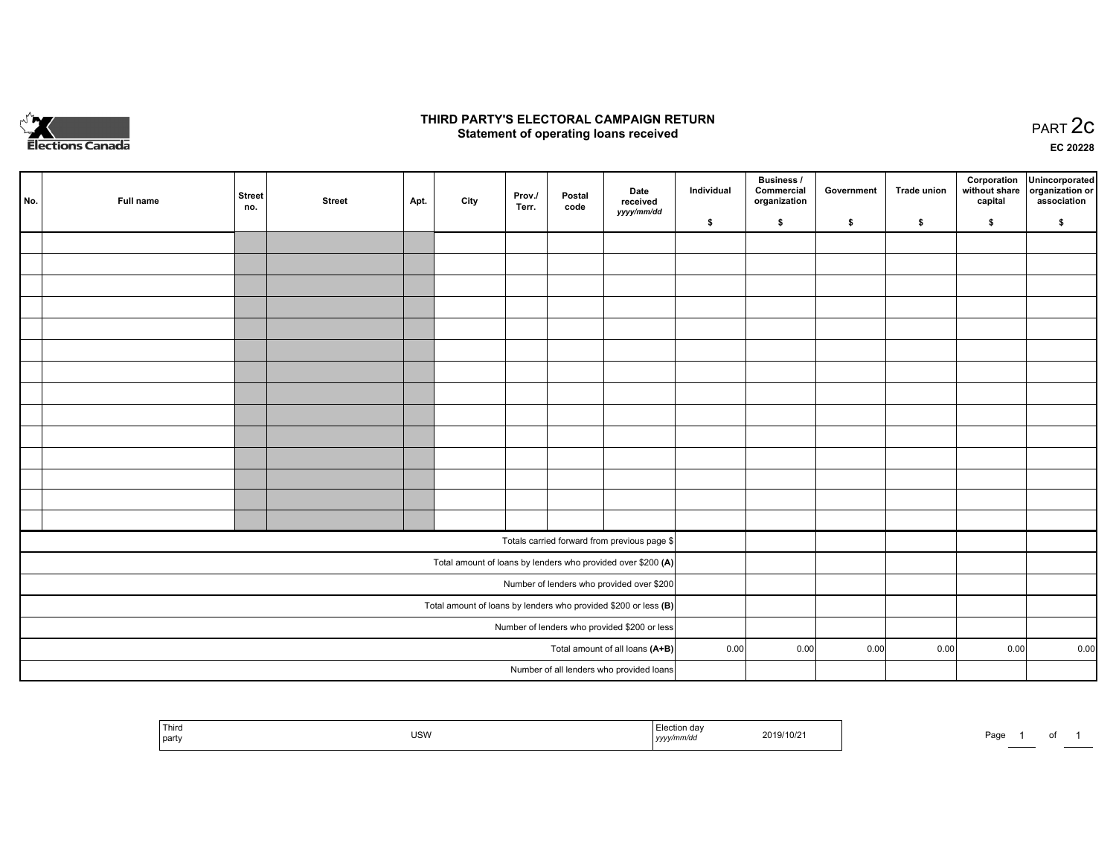

## **THIRD PARTY'S ELECTORAL CAMPAIGN RETURN STATE:** PRACT OF OPPRESS TO PART SELECTORAL CAMPAIGN RETURN<br>
Statement of operating loans received

**EC 20228**

| No. | Full name | <b>Street</b><br>no. | <b>Street</b> | Apt. | City | Prov./<br>Terr. | Postal<br>code | Date<br>received                                                  | Individual | Business /<br>Commercial<br>organization | Government | Trade union | Corporation<br>capital | Unincorporated<br>without share   organization or<br>association |
|-----|-----------|----------------------|---------------|------|------|-----------------|----------------|-------------------------------------------------------------------|------------|------------------------------------------|------------|-------------|------------------------|------------------------------------------------------------------|
|     |           |                      |               |      |      |                 |                | yyyy/mm/dd                                                        | \$         | \$                                       | \$         | $\sqrt{2}$  | \$                     | \$                                                               |
|     |           |                      |               |      |      |                 |                |                                                                   |            |                                          |            |             |                        |                                                                  |
|     |           |                      |               |      |      |                 |                |                                                                   |            |                                          |            |             |                        |                                                                  |
|     |           |                      |               |      |      |                 |                |                                                                   |            |                                          |            |             |                        |                                                                  |
|     |           |                      |               |      |      |                 |                |                                                                   |            |                                          |            |             |                        |                                                                  |
|     |           |                      |               |      |      |                 |                |                                                                   |            |                                          |            |             |                        |                                                                  |
|     |           |                      |               |      |      |                 |                |                                                                   |            |                                          |            |             |                        |                                                                  |
|     |           |                      |               |      |      |                 |                |                                                                   |            |                                          |            |             |                        |                                                                  |
|     |           |                      |               |      |      |                 |                |                                                                   |            |                                          |            |             |                        |                                                                  |
|     |           |                      |               |      |      |                 |                |                                                                   |            |                                          |            |             |                        |                                                                  |
|     |           |                      |               |      |      |                 |                |                                                                   |            |                                          |            |             |                        |                                                                  |
|     |           |                      |               |      |      |                 |                |                                                                   |            |                                          |            |             |                        |                                                                  |
|     |           |                      |               |      |      |                 |                |                                                                   |            |                                          |            |             |                        |                                                                  |
|     |           |                      |               |      |      |                 |                |                                                                   |            |                                          |            |             |                        |                                                                  |
|     |           |                      |               |      |      |                 |                |                                                                   |            |                                          |            |             |                        |                                                                  |
|     |           |                      |               |      |      |                 |                | Totals carried forward from previous page \$                      |            |                                          |            |             |                        |                                                                  |
|     |           |                      |               |      |      |                 |                | Total amount of loans by lenders who provided over \$200 (A)      |            |                                          |            |             |                        |                                                                  |
|     |           |                      |               |      |      |                 |                | Number of lenders who provided over \$200                         |            |                                          |            |             |                        |                                                                  |
|     |           |                      |               |      |      |                 |                | Total amount of loans by lenders who provided \$200 or less $(B)$ |            |                                          |            |             |                        |                                                                  |
|     |           |                      |               |      |      |                 |                | Number of lenders who provided \$200 or less                      |            |                                          |            |             |                        |                                                                  |
|     |           |                      |               |      |      |                 |                | Total amount of all loans (A+B)                                   | 0.00       | 0.00                                     | 0.00       | 0.00        | 0.00                   | 0.00                                                             |
|     |           |                      |               |      |      |                 |                | Number of all lenders who provided loans                          |            |                                          |            |             |                        |                                                                  |

| Third<br>2019/10/2<br><b>USW</b><br>Page<br>l partv<br>  <i>yyyy</i><br>$\cdots$ | ____ |  | . |  |  |
|----------------------------------------------------------------------------------|------|--|---|--|--|
|----------------------------------------------------------------------------------|------|--|---|--|--|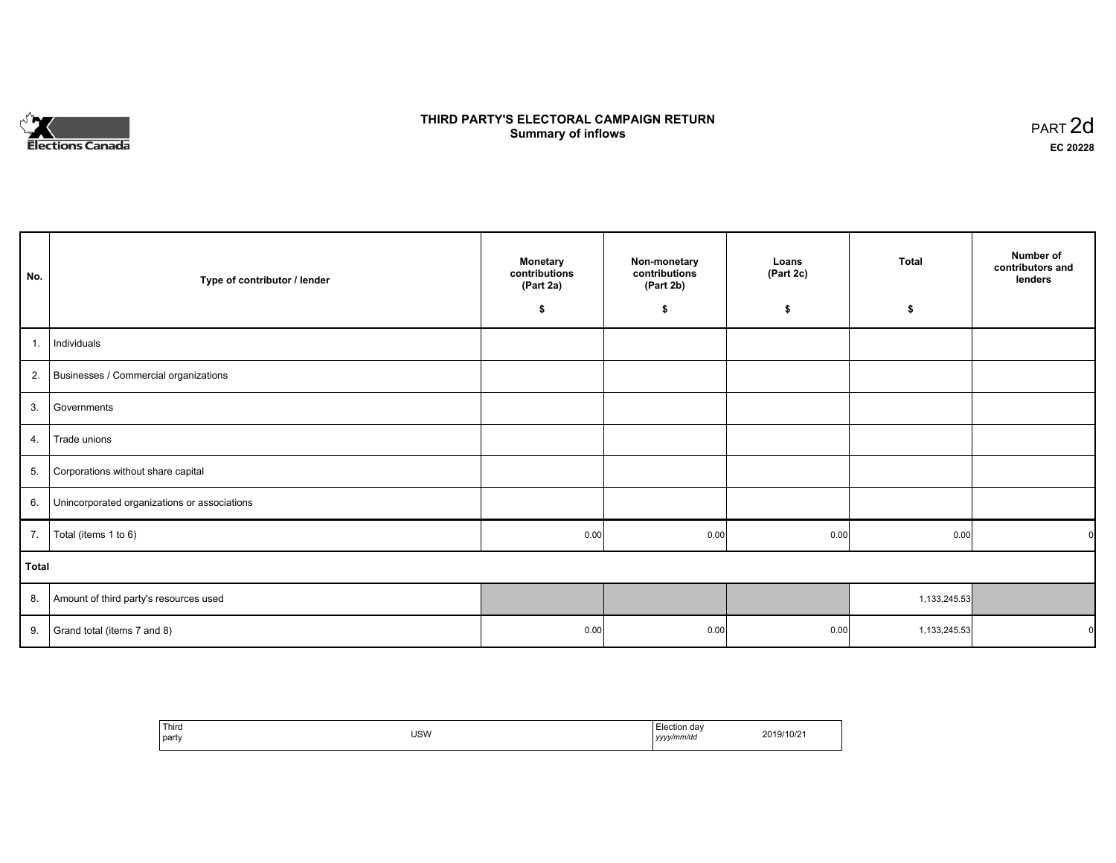# **Elections Canada**

# **THIRD PARTY'S ELECTORAL CAMPAIGN RETURN Summary of inflows**

| PART <sub>2d</sub> |  |
|--------------------|--|
| EC 20228           |  |

| No.   | Type of contributor / lender                 | <b>Monetary</b><br>Non-monetary<br>contributions<br>contributions<br>(Part 2b)<br>(Part 2a) |      | Loans<br>(Part 2c) | <b>Total</b> | Number of<br>contributors and<br>lenders |
|-------|----------------------------------------------|---------------------------------------------------------------------------------------------|------|--------------------|--------------|------------------------------------------|
|       |                                              | \$                                                                                          | \$   | \$                 | \$           |                                          |
| 1.    | Individuals                                  |                                                                                             |      |                    |              |                                          |
| 2.    | Businesses / Commercial organizations        |                                                                                             |      |                    |              |                                          |
| 3.    | Governments                                  |                                                                                             |      |                    |              |                                          |
| 4.    | Trade unions                                 |                                                                                             |      |                    |              |                                          |
| 5.    | Corporations without share capital           |                                                                                             |      |                    |              |                                          |
| 6.    | Unincorporated organizations or associations |                                                                                             |      |                    |              |                                          |
| 7.    | Total (items 1 to 6)                         | 0.00                                                                                        | 0.00 | 0.00               | 0.00         |                                          |
| Total |                                              |                                                                                             |      |                    |              |                                          |
| 8.    | Amount of third party's resources used       |                                                                                             |      |                    | 1,133,245.53 |                                          |
| 9.    | Grand total (items 7 and 8)                  | 0.00                                                                                        | 0.00 | 0.00               | 1,133,245.53 |                                          |

| ' Third<br>/10/2<br><b>USW</b><br>2019/<br>. .<br>party<br>y/mm/dd<br>1/1/1<br>.<br>. | '≏ction dav |
|---------------------------------------------------------------------------------------|-------------|
|---------------------------------------------------------------------------------------|-------------|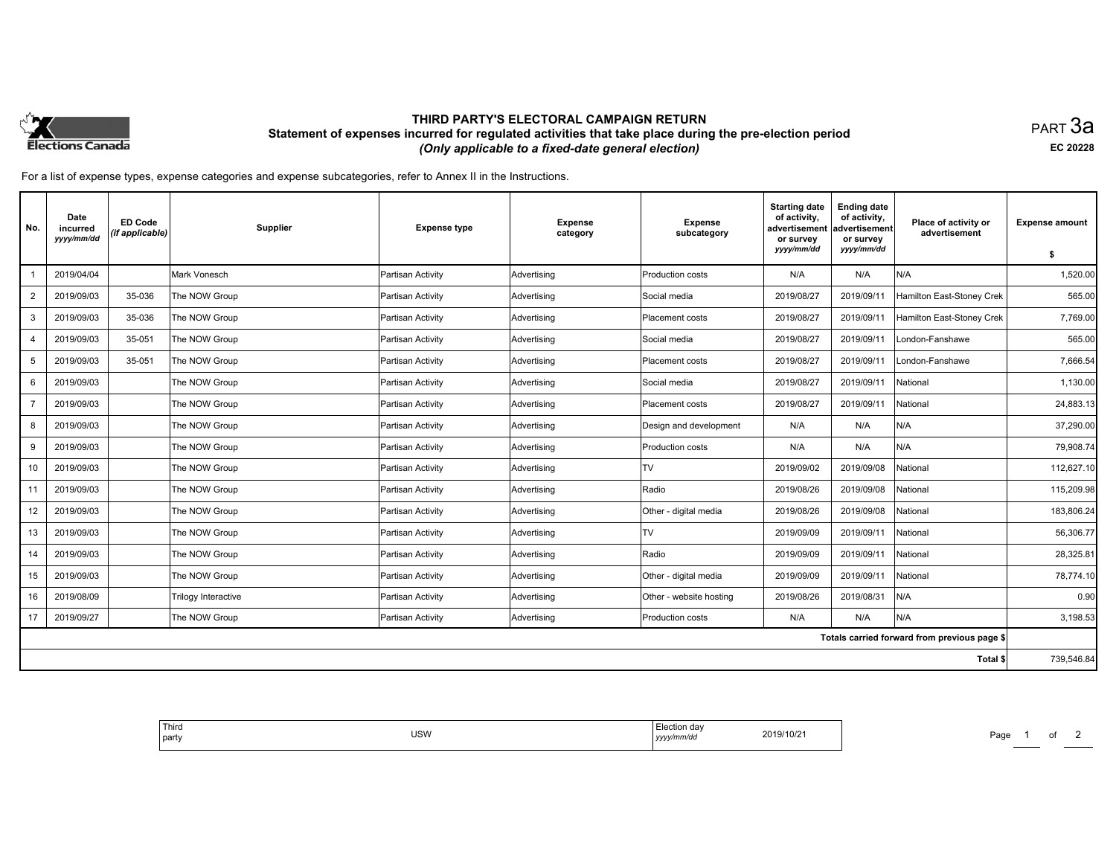

# **THIRD PARTY'S ELECTORAL CAMPAIGN RETURN Statement of expenses incurred for regulated activities that take place during the pre-election period**  *(Only applicable to a fixed-date general election)*

PART 3a **EC 20228**

For a list of expense types, expense categories and expense subcategories, refer to Annex II in the Instructions.

|                   |                                                                                                                                                 | subcategory                                                                                                          | advertisement<br>or survey<br>yyyy/mm/dd                                                                            | advertisement<br>or survey<br>yyyy/mm/dd                                                | Place of activity or<br>advertisement                                                   | <b>Expense amount</b><br>\$                                                                                            |
|-------------------|-------------------------------------------------------------------------------------------------------------------------------------------------|----------------------------------------------------------------------------------------------------------------------|---------------------------------------------------------------------------------------------------------------------|-----------------------------------------------------------------------------------------|-----------------------------------------------------------------------------------------|------------------------------------------------------------------------------------------------------------------------|
| Partisan Activity | Advertising                                                                                                                                     |                                                                                                                      | N/A                                                                                                                 | N/A                                                                                     | N/A                                                                                     | 1,520.00                                                                                                               |
| Partisan Activity | Advertising                                                                                                                                     | Social media                                                                                                         | 2019/08/27                                                                                                          | 2019/09/11                                                                              | Hamilton East-Stoney Crek                                                               | 565.00                                                                                                                 |
| Partisan Activity | Advertising                                                                                                                                     | Placement costs                                                                                                      | 2019/08/27                                                                                                          | 2019/09/11                                                                              | Hamilton East-Stoney Crek                                                               | 7,769.00                                                                                                               |
| Partisan Activity |                                                                                                                                                 | Social media                                                                                                         | 2019/08/27                                                                                                          | 2019/09/11                                                                              | London-Fanshawe                                                                         | 565.00                                                                                                                 |
| Partisan Activity | Advertising                                                                                                                                     | Placement costs                                                                                                      | 2019/08/27                                                                                                          | 2019/09/11                                                                              | London-Fanshawe                                                                         | 7,666.54                                                                                                               |
| Partisan Activity | Advertising                                                                                                                                     | Social media                                                                                                         | 2019/08/27                                                                                                          | 2019/09/11                                                                              | National                                                                                | 1,130.00                                                                                                               |
| Partisan Activity | Advertising                                                                                                                                     | Placement costs                                                                                                      | 2019/08/27                                                                                                          | 2019/09/11                                                                              | National                                                                                | 24.883.13                                                                                                              |
| Partisan Activity | Advertising                                                                                                                                     | Design and development                                                                                               | N/A                                                                                                                 | N/A                                                                                     | N/A                                                                                     | 37,290.00                                                                                                              |
|                   |                                                                                                                                                 | Production costs                                                                                                     |                                                                                                                     |                                                                                         |                                                                                         | 79,908.74                                                                                                              |
|                   |                                                                                                                                                 | <b>TV</b>                                                                                                            |                                                                                                                     |                                                                                         | National                                                                                | 112.627.10                                                                                                             |
| Partisan Activity | Advertising                                                                                                                                     | Radio                                                                                                                | 2019/08/26                                                                                                          | 2019/09/08                                                                              |                                                                                         | 115,209.98                                                                                                             |
|                   |                                                                                                                                                 |                                                                                                                      |                                                                                                                     |                                                                                         |                                                                                         | 183,806.24                                                                                                             |
|                   |                                                                                                                                                 |                                                                                                                      |                                                                                                                     |                                                                                         |                                                                                         | 56,306.77                                                                                                              |
|                   |                                                                                                                                                 |                                                                                                                      |                                                                                                                     |                                                                                         |                                                                                         | 28,325.81                                                                                                              |
|                   |                                                                                                                                                 |                                                                                                                      |                                                                                                                     |                                                                                         |                                                                                         | 78.774.10                                                                                                              |
|                   |                                                                                                                                                 |                                                                                                                      |                                                                                                                     |                                                                                         |                                                                                         | 0.90                                                                                                                   |
| Partisan Activity | Advertising                                                                                                                                     | Production costs                                                                                                     | N/A                                                                                                                 | N/A                                                                                     | N/A                                                                                     | 3,198.53                                                                                                               |
|                   |                                                                                                                                                 |                                                                                                                      |                                                                                                                     |                                                                                         |                                                                                         |                                                                                                                        |
|                   |                                                                                                                                                 |                                                                                                                      |                                                                                                                     |                                                                                         | Total \$                                                                                | 739,546.84                                                                                                             |
|                   | Partisan Activity<br>Partisan Activity<br>Partisan Activity<br>Partisan Activity<br>Partisan Activity<br>Partisan Activity<br>Partisan Activity | Advertising<br>Advertising<br>Advertising<br>Advertising<br>Advertising<br>Advertising<br>Advertising<br>Advertising | Production costs<br>Other - digital media<br><b>TV</b><br>Radio<br>Other - digital media<br>Other - website hosting | N/A<br>2019/09/02<br>2019/08/26<br>2019/09/09<br>2019/09/09<br>2019/09/09<br>2019/08/26 | N/A<br>2019/09/08<br>2019/09/08<br>2019/09/11<br>2019/09/11<br>2019/09/11<br>2019/08/31 | N/A<br>National<br>National<br>National<br>National<br>National<br>N/A<br>Totals carried forward from previous page \$ |

| Thiro<br>  party | USW | Election dav<br>2019/10/21<br>/yyy/mm/da<br>, yyyyı' | Page |
|------------------|-----|------------------------------------------------------|------|
|                  |     |                                                      |      |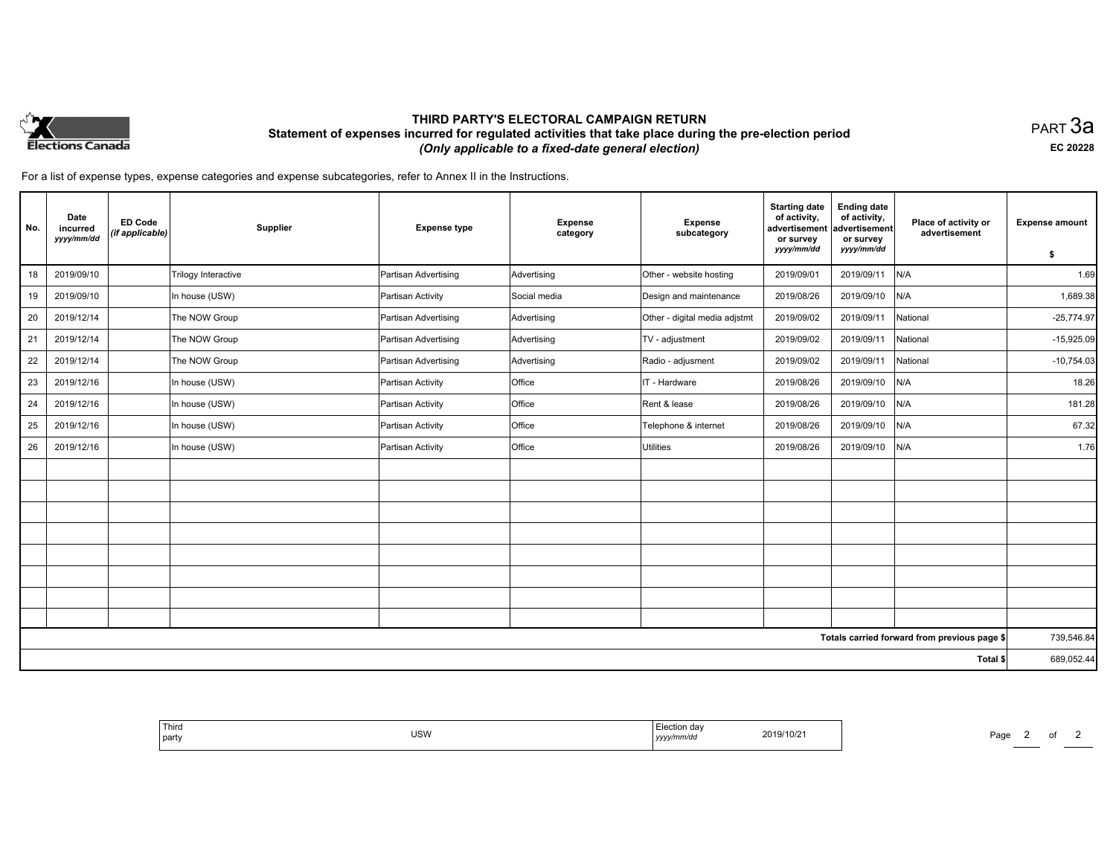

# **THIRD PARTY'S ELECTORAL CAMPAIGN RETURN Statement of expenses incurred for regulated activities that take place during the pre-election period**  *(Only applicable to a fixed-date general election)*

PART 3a **EC 20228**

For a list of expense types, expense categories and expense subcategories, refer to Annex II in the Instructions.

| No. | Date<br>incurred<br>yyyy/mm/dd | <b>ED Code</b><br>(if applicable) | Supplier                   | <b>Expense type</b>  | <b>Expense</b><br>category | <b>Expense</b><br>subcategory | <b>Starting date</b><br>of activity,<br>advertisement<br>or survey<br>yyyy/mm/dd | <b>Ending date</b><br>of activity,<br>advertisement<br>or survey<br>yyyy/mm/dd | Place of activity or<br>advertisement        | <b>Expense amount</b><br>\$ |
|-----|--------------------------------|-----------------------------------|----------------------------|----------------------|----------------------------|-------------------------------|----------------------------------------------------------------------------------|--------------------------------------------------------------------------------|----------------------------------------------|-----------------------------|
| 18  | 2019/09/10                     |                                   | <b>Trilogy Interactive</b> | Partisan Advertising | Advertising                | Other - website hosting       | 2019/09/01                                                                       | 2019/09/11                                                                     | N/A                                          | 1.69                        |
| 19  | 2019/09/10                     |                                   | In house (USW)             | Partisan Activity    | Social media               | Design and maintenance        | 2019/08/26                                                                       | 2019/09/10                                                                     | N/A                                          | 1,689.38                    |
| 20  | 2019/12/14                     |                                   | The NOW Group              | Partisan Advertising | Advertising                | Other - digital media adjstmt | 2019/09/02                                                                       | 2019/09/11                                                                     | National                                     | $-25,774.97$                |
| 21  | 2019/12/14                     |                                   | The NOW Group              | Partisan Advertising | Advertising                | TV - adjustment               | 2019/09/02                                                                       | 2019/09/11                                                                     | National                                     | $-15,925.09$                |
| 22  | 2019/12/14                     |                                   | The NOW Group              | Partisan Advertising | Advertising                | Radio - adjusment             | 2019/09/02                                                                       | 2019/09/11                                                                     | National                                     | $-10,754.03$                |
| 23  | 2019/12/16                     |                                   | In house (USW)             | Partisan Activity    | Office                     | IT - Hardware                 | 2019/08/26                                                                       | 2019/09/10                                                                     | N/A                                          | 18.26                       |
| 24  | 2019/12/16                     |                                   | In house (USW)             | Partisan Activity    | Office                     | Rent & lease                  | 2019/08/26                                                                       | 2019/09/10                                                                     | N/A                                          | 181.28                      |
| 25  | 2019/12/16                     |                                   | In house (USW)             | Partisan Activity    | Office                     | Telephone & internet          | 2019/08/26                                                                       | 2019/09/10                                                                     | N/A                                          | 67.32                       |
| 26  | 2019/12/16                     |                                   | In house (USW)             | Partisan Activity    | Office                     | <b>Utilities</b>              | 2019/08/26                                                                       | 2019/09/10                                                                     | N/A                                          | 1.76                        |
|     |                                |                                   |                            |                      |                            |                               |                                                                                  |                                                                                |                                              |                             |
|     |                                |                                   |                            |                      |                            |                               |                                                                                  |                                                                                |                                              |                             |
|     |                                |                                   |                            |                      |                            |                               |                                                                                  |                                                                                |                                              |                             |
|     |                                |                                   |                            |                      |                            |                               |                                                                                  |                                                                                |                                              |                             |
|     |                                |                                   |                            |                      |                            |                               |                                                                                  |                                                                                |                                              |                             |
|     |                                |                                   |                            |                      |                            |                               |                                                                                  |                                                                                |                                              |                             |
|     |                                |                                   |                            |                      |                            |                               |                                                                                  |                                                                                |                                              |                             |
|     |                                |                                   |                            |                      |                            |                               |                                                                                  |                                                                                |                                              |                             |
|     |                                |                                   |                            |                      |                            |                               |                                                                                  |                                                                                | Totals carried forward from previous page \$ | 739,546.84                  |
|     |                                |                                   |                            |                      |                            |                               |                                                                                  |                                                                                | Total \$                                     | 689,052.44                  |

| ' Thira<br>l party | <b>USW</b> | Election dav<br>yyyymm/ao | 2019/10/2 | $-$<br>Page |  |
|--------------------|------------|---------------------------|-----------|-------------|--|
|                    |            |                           |           |             |  |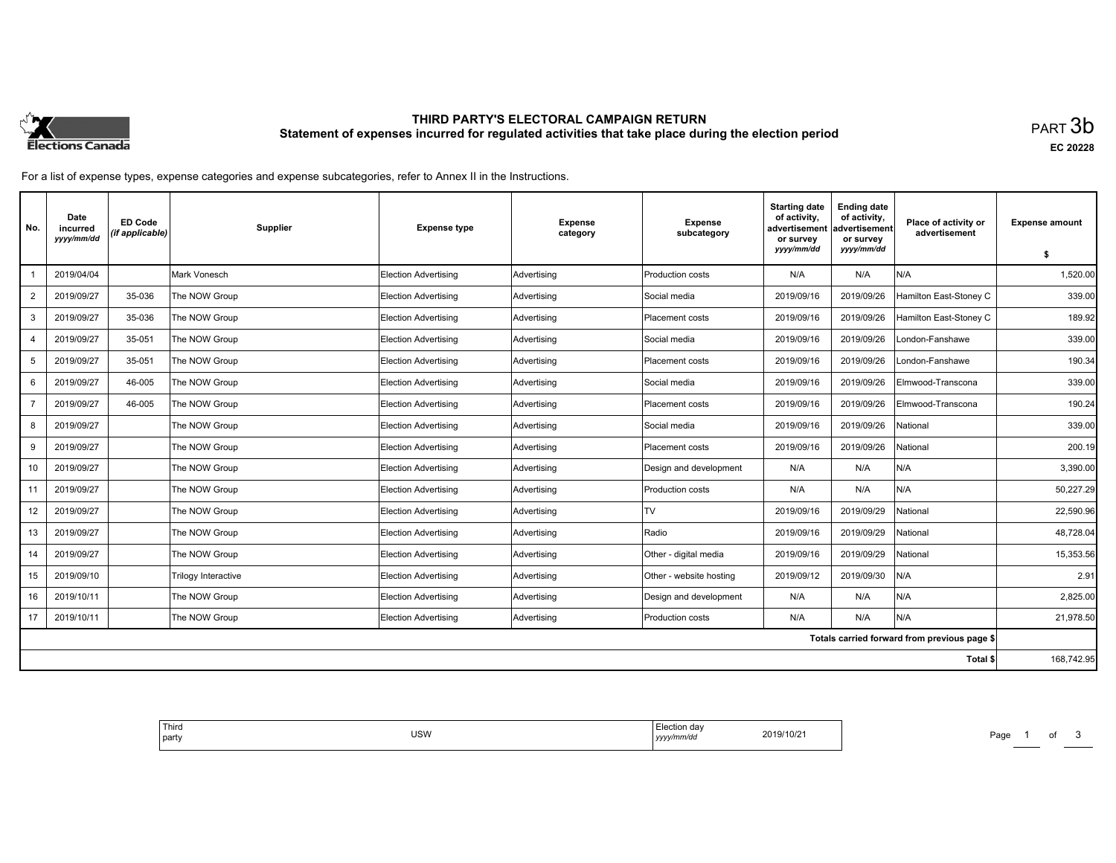

# **THIRD PARTY'S ELECTORAL CAMPAIGN RETURN Statement of expenses incurred for regulated activities that take place during the election period**<br>PART  $3\mathsf{b}$

**EC 20228**

For a list of expense types, expense categories and expense subcategories, refer to Annex II in the Instructions.

| No.            | Date<br>incurred<br>yyyy/mm/dd | <b>ED Code</b><br>(if applicable) | Supplier                   | <b>Expense type</b>         | <b>Expense</b><br>category | <b>Expense</b><br>subcategory | <b>Starting date</b><br>of activity,<br>advertisement<br>or survey | <b>Ending date</b><br>of activity,<br>advertisement<br>or survey | Place of activity or<br>advertisement        | <b>Expense amount</b> |
|----------------|--------------------------------|-----------------------------------|----------------------------|-----------------------------|----------------------------|-------------------------------|--------------------------------------------------------------------|------------------------------------------------------------------|----------------------------------------------|-----------------------|
|                |                                |                                   |                            |                             |                            |                               | yyyy/mm/dd                                                         | yyyy/mm/dd                                                       |                                              | s.                    |
|                | 2019/04/04                     |                                   | Mark Vonesch               | <b>Election Advertising</b> | Advertising                | Production costs              | N/A                                                                | N/A                                                              | N/A                                          | 1,520.00              |
| 2              | 2019/09/27                     | 35-036                            | The NOW Group              | Election Advertisina        | Advertising                | Social media                  | 2019/09/16                                                         | 2019/09/26                                                       | Hamilton East-Stoney C                       | 339.00                |
| 3              | 2019/09/27                     | 35-036                            | The NOW Group              | Election Advertising        | Advertising                | Placement costs               | 2019/09/16                                                         | 2019/09/26                                                       | Hamilton East-Stoney C                       | 189.92                |
| $\overline{4}$ | 2019/09/27                     | 35-051                            | The NOW Group              | Election Advertising        | Advertising                | Social media                  | 2019/09/16                                                         | 2019/09/26                                                       | London-Fanshawe                              | 339.00                |
| 5              | 2019/09/27                     | 35-051                            | The NOW Group              | Election Advertising        | Advertising                | <b>Placement costs</b>        | 2019/09/16                                                         | 2019/09/26                                                       | _ondon-Fanshawe                              | 190.34                |
| 6              | 2019/09/27                     | 46-005                            | The NOW Group              | Election Advertising        | Advertising                | Social media                  | 2019/09/16                                                         | 2019/09/26                                                       | Elmwood-Transcona                            | 339.00                |
|                | 2019/09/27                     | 46-005                            | The NOW Group              | <b>Election Advertising</b> | Advertising                | Placement costs               | 2019/09/16                                                         | 2019/09/26                                                       | Elmwood-Transcona                            | 190.24                |
| 8              | 2019/09/27                     |                                   | The NOW Group              | Election Advertising        | Advertising                | Social media                  | 2019/09/16                                                         | 2019/09/26                                                       | National                                     | 339.00                |
| 9              | 2019/09/27                     |                                   | The NOW Group              | Election Advertising        | Advertising                | Placement costs               | 2019/09/16                                                         | 2019/09/26                                                       | National                                     | 200.19                |
| 10             | 2019/09/27                     |                                   | The NOW Group              | Election Advertising        | Advertising                | Design and development        | N/A                                                                | N/A                                                              | N/A                                          | 3.390.00              |
| 11             | 2019/09/27                     |                                   | The NOW Group              | Election Advertising        | Advertising                | Production costs              | N/A                                                                | N/A                                                              | N/A                                          | 50,227.29             |
| 12             | 2019/09/27                     |                                   | The NOW Group              | Election Advertising        | Advertising                | TV                            | 2019/09/16                                                         | 2019/09/29                                                       | National                                     | 22,590.96             |
| 13             | 2019/09/27                     |                                   | The NOW Group              | Election Advertising        | Advertising                | Radio                         | 2019/09/16                                                         | 2019/09/29                                                       | National                                     | 48.728.04             |
| 14             | 2019/09/27                     |                                   | The NOW Group              | Election Advertising        | Advertising                | Other - digital media         | 2019/09/16                                                         | 2019/09/29                                                       | National                                     | 15,353.56             |
| 15             | 2019/09/10                     |                                   | <b>Trilogy Interactive</b> | Election Advertising        | Advertising                | Other - website hosting       | 2019/09/12                                                         | 2019/09/30                                                       | N/A                                          | 2.91                  |
| 16             | 2019/10/11                     |                                   | The NOW Group              | <b>Election Advertising</b> | Advertising                | Design and development        | N/A                                                                | N/A                                                              | N/A                                          | 2,825.00              |
| 17             | 2019/10/11                     |                                   | The NOW Group              | Election Advertising        | Advertising                | Production costs              | N/A                                                                | N/A                                                              | N/A                                          | 21,978.50             |
|                |                                |                                   |                            |                             |                            |                               |                                                                    |                                                                  | Totals carried forward from previous page \$ |                       |
|                |                                |                                   |                            |                             |                            |                               |                                                                    |                                                                  | Total \$                                     | 168,742.95            |

Page 1 of 3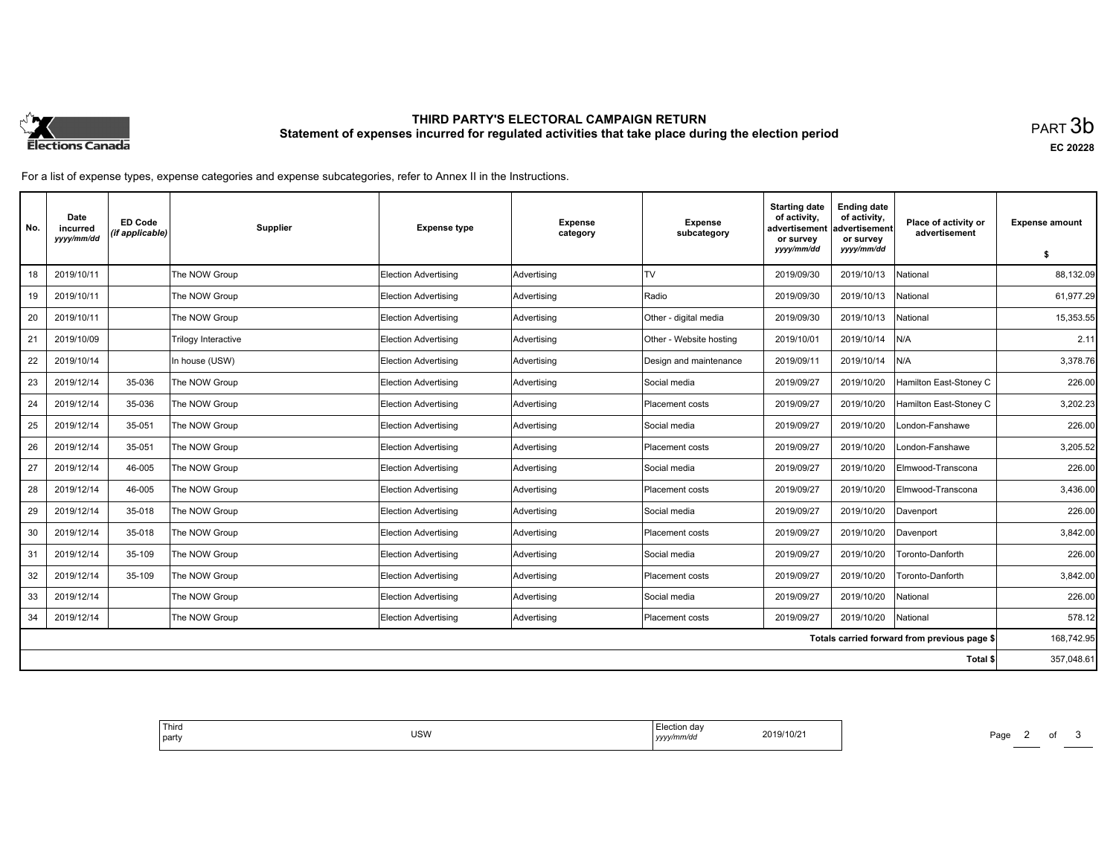

# **THIRD PARTY'S ELECTORAL CAMPAIGN RETURN Statement of expenses incurred for regulated activities that take place during the election period**<br>PART  $3\mathsf{b}$

**EC 20228**

For a list of expense types, expense categories and expense subcategories, refer to Annex II in the Instructions.

| No. | Date<br>incurred<br>yyyy/mm/dd | <b>ED Code</b><br>(if applicable) | Supplier            | <b>Expense type</b>         | <b>Expense</b><br>category | <b>Expense</b><br>subcategory | <b>Starting date</b><br>of activity.<br>advertisement<br>or survey<br>yyyy/mm/dd | <b>Ending date</b><br>of activity,<br>advertisement<br>or survey<br>yyyy/mm/dd | Place of activity or<br>advertisement        | <b>Expense amount</b><br>\$ |
|-----|--------------------------------|-----------------------------------|---------------------|-----------------------------|----------------------------|-------------------------------|----------------------------------------------------------------------------------|--------------------------------------------------------------------------------|----------------------------------------------|-----------------------------|
| 18  | 2019/10/11                     |                                   | The NOW Group       | <b>Election Advertising</b> | Advertising                | TV                            | 2019/09/30                                                                       | 2019/10/13                                                                     | Vational                                     | 88,132.09                   |
| 19  | 2019/10/11                     |                                   | The NOW Group       | Election Advertising        | Advertising                | Radio                         | 2019/09/30                                                                       | 2019/10/13                                                                     | Vational                                     | 61,977.29                   |
| 20  | 2019/10/11                     |                                   | The NOW Group       | Election Advertising        | Advertising                | Other - digital media         | 2019/09/30                                                                       | 2019/10/13                                                                     | Vational                                     | 15,353.55                   |
| 21  | 2019/10/09                     |                                   | Trilogy Interactive | Election Advertising        | Advertising                | Other - Website hosting       | 2019/10/01                                                                       | 2019/10/14                                                                     | N/A                                          | 2.11                        |
| 22  | 2019/10/14                     |                                   | In house (USW)      | <b>Election Advertising</b> | Advertising                | Design and maintenance        | 2019/09/11                                                                       | 2019/10/14                                                                     | N/A                                          | 3,378.76                    |
| 23  | 2019/12/14                     | 35-036                            | The NOW Group       | Election Advertising        | Advertising                | Social media                  | 2019/09/27                                                                       | 2019/10/20                                                                     | Hamilton East-Stoney C                       | 226.00                      |
| 24  | 2019/12/14                     | 35-036                            | The NOW Group       | <b>Election Advertising</b> | Advertising                | Placement costs               | 2019/09/27                                                                       | 2019/10/20                                                                     | Hamilton East-Stoney C                       | 3,202.23                    |
| 25  | 2019/12/14                     | 35-051                            | The NOW Group       | <b>Election Advertising</b> | Advertising                | Social media                  | 2019/09/27                                                                       | 2019/10/20                                                                     | London-Fanshawe                              | 226.00                      |
| 26  | 2019/12/14                     | 35-051                            | The NOW Group       | <b>Election Advertising</b> | Advertising                | Placement costs               | 2019/09/27                                                                       | 2019/10/20                                                                     | London-Fanshawe                              | 3,205.52                    |
| 27  | 2019/12/14                     | 46-005                            | The NOW Group       | <b>Election Advertising</b> | Advertising                | Social media                  | 2019/09/27                                                                       | 2019/10/20                                                                     | Elmwood-Transcona                            | 226.00                      |
| 28  | 2019/12/14                     | 46-005                            | The NOW Group       | Election Advertising        | Advertising                | Placement costs               | 2019/09/27                                                                       | 2019/10/20                                                                     | Elmwood-Transcona                            | 3,436.00                    |
| 29  | 2019/12/14                     | 35-018                            | The NOW Group       | <b>Election Advertising</b> | Advertising                | Social media                  | 2019/09/27                                                                       | 2019/10/20                                                                     | Davenport                                    | 226.00                      |
| 30  | 2019/12/14                     | 35-018                            | The NOW Group       | Election Advertising        | Advertising                | Placement costs               | 2019/09/27                                                                       | 2019/10/20                                                                     | Davenport                                    | 3,842.00                    |
| 31  | 2019/12/14                     | 35-109                            | The NOW Group       | <b>Election Advertising</b> | Advertising                | Social media                  | 2019/09/27                                                                       | 2019/10/20                                                                     | Toronto-Danforth                             | 226.00                      |
| 32  | 2019/12/14                     | 35-109                            | The NOW Group       | Election Advertising        | Advertising                | Placement costs               | 2019/09/27                                                                       | 2019/10/20                                                                     | Toronto-Danforth                             | 3.842.00                    |
| 33  | 2019/12/14                     |                                   | The NOW Group       | <b>Election Advertising</b> | Advertising                | Social media                  | 2019/09/27                                                                       | 2019/10/20                                                                     | National                                     | 226.00                      |
| 34  | 2019/12/14                     |                                   | The NOW Group       | Election Advertising        | Advertising                | Placement costs               | 2019/09/27                                                                       | 2019/10/20                                                                     | National                                     | 578.12                      |
|     |                                |                                   |                     |                             |                            |                               |                                                                                  |                                                                                | Totals carried forward from previous page \$ | 168,742.95                  |
|     |                                |                                   |                     |                             |                            |                               |                                                                                  |                                                                                | Total \$                                     | 357,048.61                  |

| Third<br>  party | <b>USW</b> | Election dav<br>2019/10/21<br>v/mm/da<br>,,,,, |
|------------------|------------|------------------------------------------------|
|                  |            |                                                |

Page 2 of 3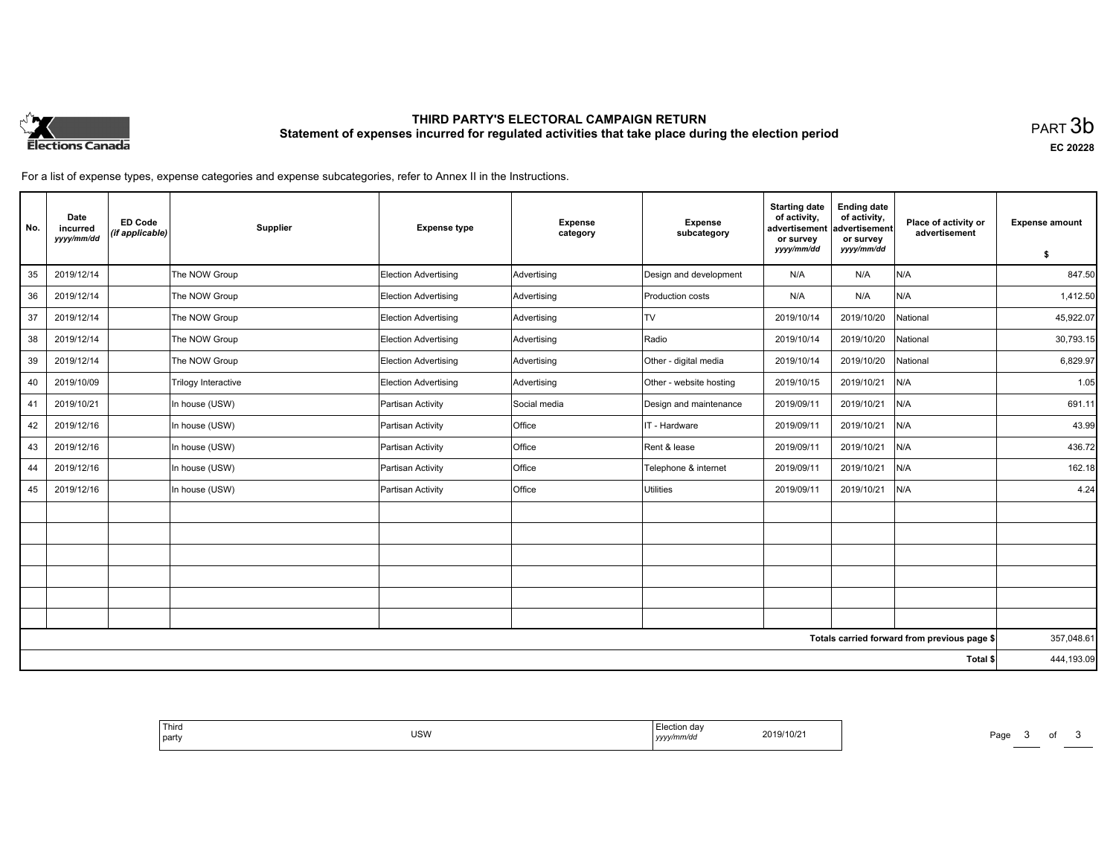

# **THIRD PARTY'S ELECTORAL CAMPAIGN RETURN Statement of expenses incurred for regulated activities that take place during the election period**<br>PART  $3\mathsf{b}$

**EC 20228**

For a list of expense types, expense categories and expense subcategories, refer to Annex II in the Instructions.

| No. | Date<br>incurred<br>yyyy/mm/dd | <b>ED Code</b><br>(if applicable) | Supplier            | <b>Expense type</b>         | <b>Expense</b><br>category | <b>Expense</b><br>subcategory | <b>Starting date</b><br>of activity,<br>advertisement<br>or survey<br>yyyy/mm/dd | <b>Ending date</b><br>of activity,<br>advertisement<br>or survey<br>yyyy/mm/dd | Place of activity or<br>advertisement        | <b>Expense amount</b><br>\$ |
|-----|--------------------------------|-----------------------------------|---------------------|-----------------------------|----------------------------|-------------------------------|----------------------------------------------------------------------------------|--------------------------------------------------------------------------------|----------------------------------------------|-----------------------------|
| 35  | 2019/12/14                     |                                   | The NOW Group       | Election Advertising        | Advertising                | Design and development        | N/A                                                                              | N/A                                                                            | N/A                                          | 847.50                      |
| 36  | 2019/12/14                     |                                   | The NOW Group       | Election Advertising        | Advertising                | Production costs              | N/A                                                                              | N/A                                                                            | N/A                                          | 1,412.50                    |
| 37  | 2019/12/14                     |                                   | The NOW Group       | Election Advertising        | Advertising                | <b>TV</b>                     | 2019/10/14                                                                       | 2019/10/20                                                                     | National                                     | 45,922.07                   |
| 38  | 2019/12/14                     |                                   | The NOW Group       | <b>Election Advertising</b> | Advertising                | Radio                         | 2019/10/14                                                                       | 2019/10/20                                                                     | National                                     | 30,793.15                   |
| 39  | 2019/12/14                     |                                   | The NOW Group       | Election Advertising        | Advertising                | Other - digital media         | 2019/10/14                                                                       | 2019/10/20                                                                     | National                                     | 6,829.97                    |
| 40  | 2019/10/09                     |                                   | Trilogy Interactive | Election Advertising        | Advertising                | Other - website hosting       | 2019/10/15                                                                       | 2019/10/21                                                                     | N/A                                          | 1.05                        |
| 41  | 2019/10/21                     |                                   | In house (USW)      | Partisan Activity           | Social media               | Design and maintenance        | 2019/09/11                                                                       | 2019/10/21                                                                     | N/A                                          | 691.11                      |
| 42  | 2019/12/16                     |                                   | In house (USW)      | Partisan Activity           | Office                     | IT - Hardware                 | 2019/09/11                                                                       | 2019/10/21                                                                     | N/A                                          | 43.99                       |
| 43  | 2019/12/16                     |                                   | In house (USW)      | Partisan Activity           | Office                     | Rent & lease                  | 2019/09/11                                                                       | 2019/10/21                                                                     | N/A                                          | 436.72                      |
| 44  | 2019/12/16                     |                                   | In house (USW)      | Partisan Activity           | Office                     | Telephone & internet          | 2019/09/11                                                                       | 2019/10/21                                                                     | N/A                                          | 162.18                      |
| 45  | 2019/12/16                     |                                   | In house (USW)      | Partisan Activity           | Office                     | Utilities                     | 2019/09/11                                                                       | 2019/10/21                                                                     | N/A                                          | 4.24                        |
|     |                                |                                   |                     |                             |                            |                               |                                                                                  |                                                                                |                                              |                             |
|     |                                |                                   |                     |                             |                            |                               |                                                                                  |                                                                                |                                              |                             |
|     |                                |                                   |                     |                             |                            |                               |                                                                                  |                                                                                |                                              |                             |
|     |                                |                                   |                     |                             |                            |                               |                                                                                  |                                                                                |                                              |                             |
|     |                                |                                   |                     |                             |                            |                               |                                                                                  |                                                                                |                                              |                             |
|     |                                |                                   |                     |                             |                            |                               |                                                                                  |                                                                                |                                              |                             |
|     |                                |                                   |                     |                             |                            |                               |                                                                                  |                                                                                | Totals carried forward from previous page \$ | 357,048.61                  |
|     |                                |                                   |                     |                             |                            |                               |                                                                                  |                                                                                | Total \$                                     | 444,193.09                  |

| l Third<br>Election dav<br>$'$ ICIM<br>2019/10/21<br>  party<br>◡◡▾▾<br>yy/mm/dc<br>,,,,, |
|-------------------------------------------------------------------------------------------|
|-------------------------------------------------------------------------------------------|

Page 3 of 3